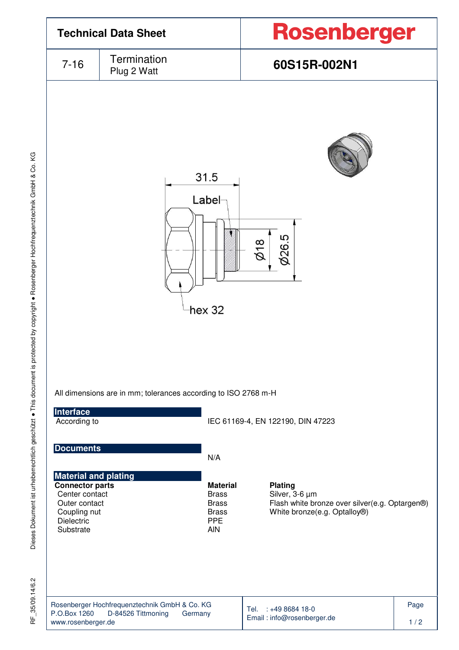

 $35/09.14/6.2$ 눈